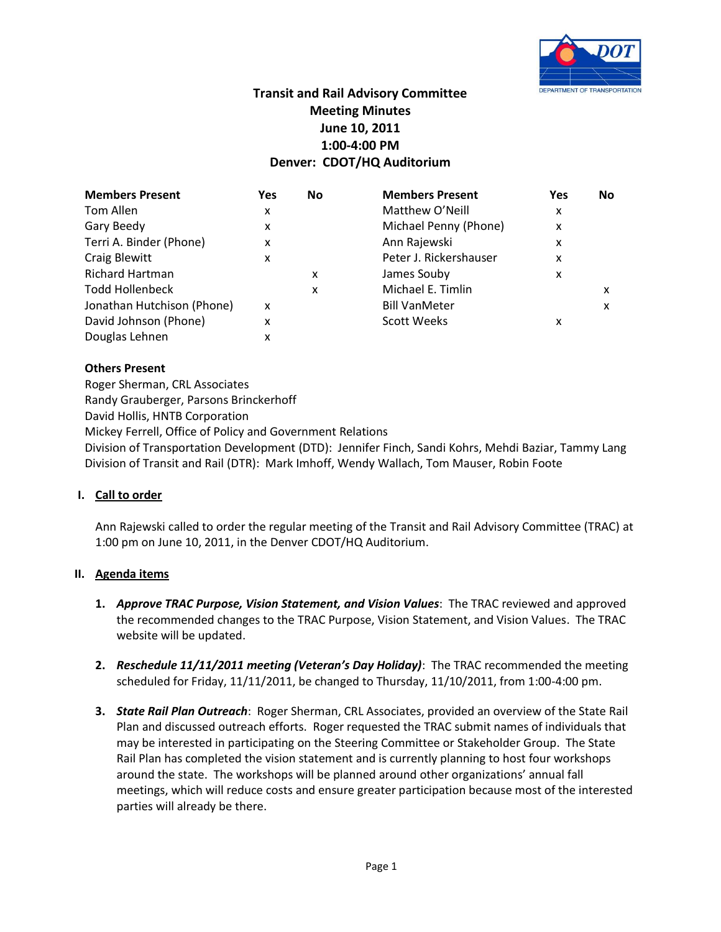

# **Transit and Rail Advisory Committee Meeting Minutes June 10, 2011 1:00-4:00 PM Denver: CDOT/HQ Auditorium**

| <b>Members Present</b>     | Yes | No | <b>Members Present</b> | Yes | <b>No</b> |
|----------------------------|-----|----|------------------------|-----|-----------|
| Tom Allen                  | x   |    | Matthew O'Neill        | x   |           |
| Gary Beedy                 | x   |    | Michael Penny (Phone)  | X   |           |
| Terri A. Binder (Phone)    | x   |    | Ann Rajewski           | x   |           |
| Craig Blewitt              | x   |    | Peter J. Rickershauser | x   |           |
| <b>Richard Hartman</b>     |     | x  | James Souby            | x   |           |
| <b>Todd Hollenbeck</b>     |     | X  | Michael E. Timlin      |     | x         |
| Jonathan Hutchison (Phone) | x   |    | <b>Bill VanMeter</b>   |     | x         |
| David Johnson (Phone)      | x   |    | <b>Scott Weeks</b>     | x   |           |
| Douglas Lehnen             | x   |    |                        |     |           |

## **Others Present**

Roger Sherman, CRL Associates Randy Grauberger, Parsons Brinckerhoff David Hollis, HNTB Corporation Mickey Ferrell, Office of Policy and Government Relations Division of Transportation Development (DTD): Jennifer Finch, Sandi Kohrs, Mehdi Baziar, Tammy Lang Division of Transit and Rail (DTR): Mark Imhoff, Wendy Wallach, Tom Mauser, Robin Foote

### **I. Call to order**

Ann Rajewski called to order the regular meeting of the Transit and Rail Advisory Committee (TRAC) at 1:00 pm on June 10, 2011, in the Denver CDOT/HQ Auditorium.

### **II. Agenda items**

- **1.** *Approve TRAC Purpose, Vision Statement, and Vision Values*: The TRAC reviewed and approved the recommended changes to the TRAC Purpose, Vision Statement, and Vision Values. The TRAC website will be updated.
- **2.** *Reschedule 11/11/2011 meeting (Veteran's Day Holiday)*: The TRAC recommended the meeting scheduled for Friday, 11/11/2011, be changed to Thursday, 11/10/2011, from 1:00-4:00 pm.
- **3.** *State Rail Plan Outreach*: Roger Sherman, CRL Associates, provided an overview of the State Rail Plan and discussed outreach efforts. Roger requested the TRAC submit names of individuals that may be interested in participating on the Steering Committee or Stakeholder Group. The State Rail Plan has completed the vision statement and is currently planning to host four workshops around the state. The workshops will be planned around other organizations' annual fall meetings, which will reduce costs and ensure greater participation because most of the interested parties will already be there.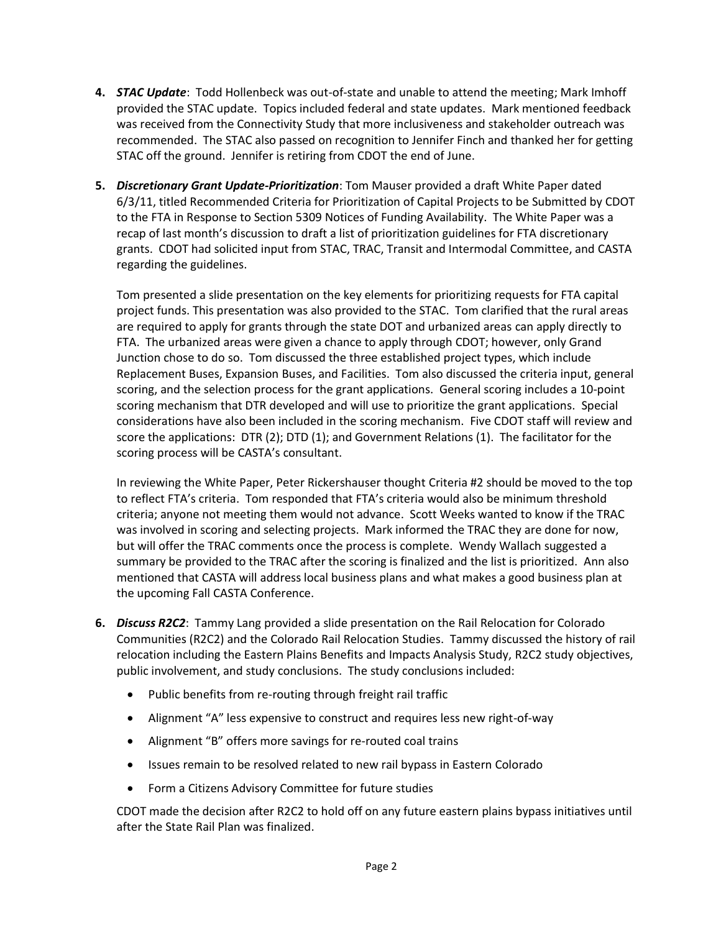- **4.** *STAC Update*: Todd Hollenbeck was out-of-state and unable to attend the meeting; Mark Imhoff provided the STAC update. Topics included federal and state updates. Mark mentioned feedback was received from the Connectivity Study that more inclusiveness and stakeholder outreach was recommended. The STAC also passed on recognition to Jennifer Finch and thanked her for getting STAC off the ground. Jennifer is retiring from CDOT the end of June.
- **5.** *Discretionary Grant Update-Prioritization*: Tom Mauser provided a draft White Paper dated 6/3/11, titled Recommended Criteria for Prioritization of Capital Projects to be Submitted by CDOT to the FTA in Response to Section 5309 Notices of Funding Availability. The White Paper was a recap of last month's discussion to draft a list of prioritization guidelines for FTA discretionary grants. CDOT had solicited input from STAC, TRAC, Transit and Intermodal Committee, and CASTA regarding the guidelines.

Tom presented a slide presentation on the key elements for prioritizing requests for FTA capital project funds. This presentation was also provided to the STAC. Tom clarified that the rural areas are required to apply for grants through the state DOT and urbanized areas can apply directly to FTA. The urbanized areas were given a chance to apply through CDOT; however, only Grand Junction chose to do so. Tom discussed the three established project types, which include Replacement Buses, Expansion Buses, and Facilities. Tom also discussed the criteria input, general scoring, and the selection process for the grant applications. General scoring includes a 10-point scoring mechanism that DTR developed and will use to prioritize the grant applications. Special considerations have also been included in the scoring mechanism. Five CDOT staff will review and score the applications: DTR (2); DTD (1); and Government Relations (1). The facilitator for the scoring process will be CASTA's consultant.

In reviewing the White Paper, Peter Rickershauser thought Criteria #2 should be moved to the top to reflect FTA's criteria. Tom responded that FTA's criteria would also be minimum threshold criteria; anyone not meeting them would not advance. Scott Weeks wanted to know if the TRAC was involved in scoring and selecting projects. Mark informed the TRAC they are done for now, but will offer the TRAC comments once the process is complete. Wendy Wallach suggested a summary be provided to the TRAC after the scoring is finalized and the list is prioritized. Ann also mentioned that CASTA will address local business plans and what makes a good business plan at the upcoming Fall CASTA Conference.

- **6.** *Discuss R2C2*: Tammy Lang provided a slide presentation on the Rail Relocation for Colorado Communities (R2C2) and the Colorado Rail Relocation Studies. Tammy discussed the history of rail relocation including the Eastern Plains Benefits and Impacts Analysis Study, R2C2 study objectives, public involvement, and study conclusions. The study conclusions included:
	- Public benefits from re-routing through freight rail traffic
	- Alignment "A" less expensive to construct and requires less new right-of-way
	- Alignment "B" offers more savings for re-routed coal trains
	- Issues remain to be resolved related to new rail bypass in Eastern Colorado
	- Form a Citizens Advisory Committee for future studies

CDOT made the decision after R2C2 to hold off on any future eastern plains bypass initiatives until after the State Rail Plan was finalized.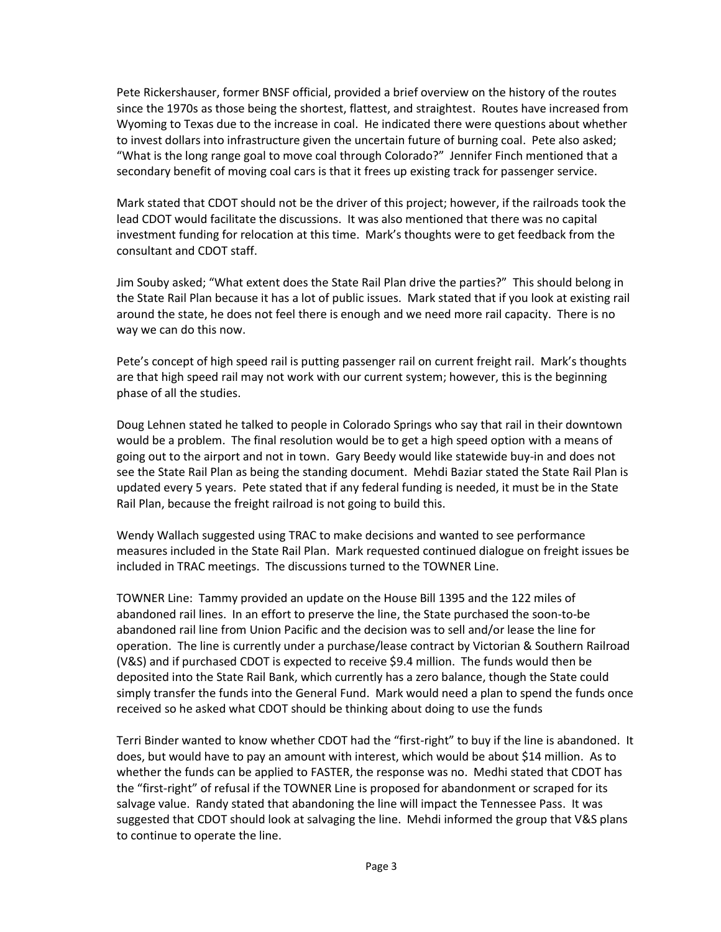Pete Rickershauser, former BNSF official, provided a brief overview on the history of the routes since the 1970s as those being the shortest, flattest, and straightest. Routes have increased from Wyoming to Texas due to the increase in coal. He indicated there were questions about whether to invest dollars into infrastructure given the uncertain future of burning coal. Pete also asked; "What is the long range goal to move coal through Colorado?" Jennifer Finch mentioned that a secondary benefit of moving coal cars is that it frees up existing track for passenger service.

Mark stated that CDOT should not be the driver of this project; however, if the railroads took the lead CDOT would facilitate the discussions. It was also mentioned that there was no capital investment funding for relocation at this time. Mark's thoughts were to get feedback from the consultant and CDOT staff.

Jim Souby asked; "What extent does the State Rail Plan drive the parties?" This should belong in the State Rail Plan because it has a lot of public issues. Mark stated that if you look at existing rail around the state, he does not feel there is enough and we need more rail capacity. There is no way we can do this now.

Pete's concept of high speed rail is putting passenger rail on current freight rail. Mark's thoughts are that high speed rail may not work with our current system; however, this is the beginning phase of all the studies.

Doug Lehnen stated he talked to people in Colorado Springs who say that rail in their downtown would be a problem. The final resolution would be to get a high speed option with a means of going out to the airport and not in town. Gary Beedy would like statewide buy-in and does not see the State Rail Plan as being the standing document. Mehdi Baziar stated the State Rail Plan is updated every 5 years. Pete stated that if any federal funding is needed, it must be in the State Rail Plan, because the freight railroad is not going to build this.

Wendy Wallach suggested using TRAC to make decisions and wanted to see performance measures included in the State Rail Plan. Mark requested continued dialogue on freight issues be included in TRAC meetings. The discussions turned to the TOWNER Line.

TOWNER Line: Tammy provided an update on the House Bill 1395 and the 122 miles of abandoned rail lines. In an effort to preserve the line, the State purchased the soon-to-be abandoned rail line from Union Pacific and the decision was to sell and/or lease the line for operation. The line is currently under a purchase/lease contract by Victorian & Southern Railroad (V&S) and if purchased CDOT is expected to receive \$9.4 million. The funds would then be deposited into the State Rail Bank, which currently has a zero balance, though the State could simply transfer the funds into the General Fund. Mark would need a plan to spend the funds once received so he asked what CDOT should be thinking about doing to use the funds

Terri Binder wanted to know whether CDOT had the "first-right" to buy if the line is abandoned. It does, but would have to pay an amount with interest, which would be about \$14 million. As to whether the funds can be applied to FASTER, the response was no. Medhi stated that CDOT has the "first-right" of refusal if the TOWNER Line is proposed for abandonment or scraped for its salvage value. Randy stated that abandoning the line will impact the Tennessee Pass. It was suggested that CDOT should look at salvaging the line. Mehdi informed the group that V&S plans to continue to operate the line.